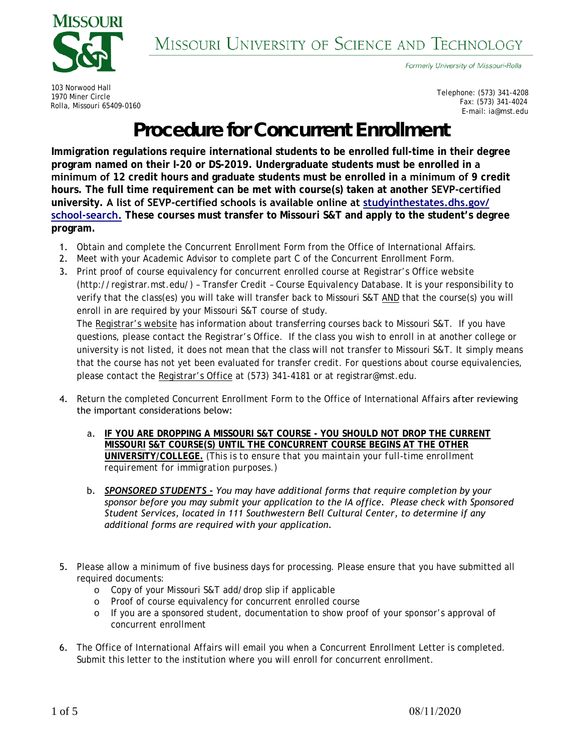

Formerly University of Missouri-Rolla

103 Norwood Hall 1970 Miner Circle Rolla, Missouri 65409-0160

Telephone: (573) 341-4208 Fax: (573) 341-4024 E-mail: ia@mst.edu

## Procedure for Concurrent Enrollment

**Immigration regulations require international students to be enrolled full-time in their degree program named on their I-20 or DS-2019. Undergraduate students must be enrolled in a minimum of 12 credit hours and graduate students must be enrolled in a minimum of 9 credit hours. The full time requirement can be met with course(s) taken at another SEVP-certified university. A list of SEVP-certified schools is available online at [studyinthestates.dhs.gov/](https://studyinthestates.dhs.gov/school-search) [school-search.](https://studyinthestates.dhs.gov/school-search) These courses must transfer to Missouri S&T and apply to the student's degree program.** 

- 1. Obtain and complete the Concurrent Enrollment Form from the Office of International Affairs.
- 2. Meet with your Academic Advisor to complete part C of the Concurrent Enrollment Form.

please contact the Registrar's Office at (573) 341-4181 or at registrar@mst.edu.

- 3. Print proof of course equivalency for concurrent enrolled course at Registrar's Office website (http://registrar.mst.edu/) – Transfer Credit – Course Equivalency Database. It is your responsibility to verify that the class(es) you will take will transfer back to Missouri S&T AND that the course(s) you will enroll in are required by your Missouri S&T course of study. The Registrar's website has information about transferring courses back to Missouri S&T. If you have questions, please contact the Registrar's Office. If the class you wish to enroll in at another college or university is not listed, it does not mean that the class will not transfer to Missouri S&T. It simply means that the course has not yet been evaluated for transfer credit. For questions about course equivalencies,
- 4. Return the completed Concurrent Enrollment Form to the Office of International Affairs after reviewing the important considerations below:
	- a. **IF YOU ARE DROPPING A MISSOURI S&T COURSE YOU SHOULD NOT DROP THE CURRENT MISSOURI S&T COURSE(S) UNTIL THE CONCURRENT COURSE BEGINS AT THE OTHER UNIVERSITY/COLLEGE.** *(This is to ensure that you maintain your full-time enrollment requirement for immigration purposes.)*
	- b. *SPONSORED STUDENTS - You may have additional forms that require completion by your sponsor before you may submit your application to the IA office. Please check with Sponsored Student Services, located in 111 Southwestern Bell Cultural Center, to determine if any additional forms are required with your application.*
- 5. Please allow a minimum of five business days for processing. Please ensure that you have submitted all required documents:
	- o Copy of your Missouri S&T add/drop slip if applicable
	- o Proof of course equivalency for concurrent enrolled course
	- o If you are a sponsored student, documentation to show proof of your sponsor's approval of concurrent enrollment
- 6. The Office of International Affairs will email you when a Concurrent Enrollment Letter is completed. Submit this letter to the institution where you will enroll for concurrent enrollment.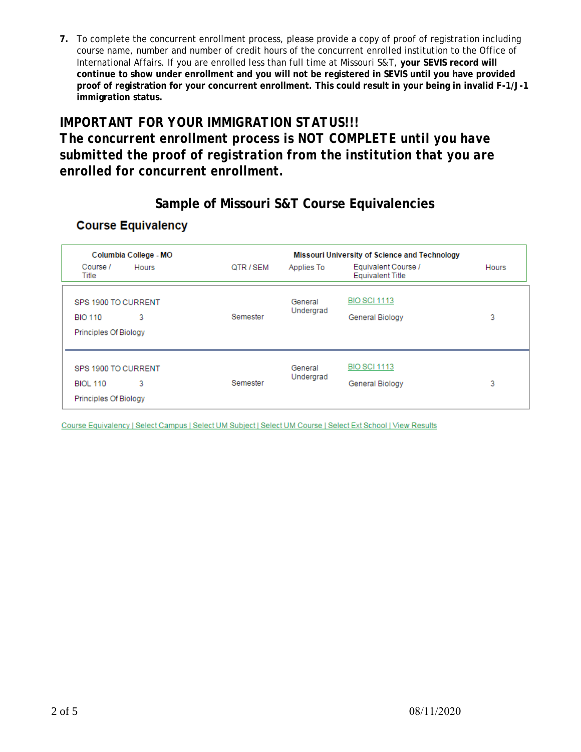**7.** To complete the concurrent enrollment process, please provide a copy of proof of registration including course name, number and number of credit hours of the concurrent enrolled institution to the Office of International Affairs. If you are enrolled less than full time at Missouri S&T, **your SEVIS record will continue to show under enrollment and you will not be registered in SEVIS until you have provided proof of registration for your concurrent enrollment. This could result in your being in invalid F-1/J-1 immigration status.**

### *IMPORTANT FOR YOUR IMMIGRATION STATUS!!! The concurrent enrollment process is NOT COMPLETE until you have submitted the proof of registration from the institution that you are enrolled for concurrent enrollment.*

### **Sample of Missouri S&T Course Equivalencies**

#### **Course Equivalency**

|                              | Columbia College - MO |           |                              | <b>Missouri University of Science and Technology</b> |              |
|------------------------------|-----------------------|-----------|------------------------------|------------------------------------------------------|--------------|
| Course /<br>Title            | <b>Hours</b>          | QTR / SEM | Applies To                   | Equivalent Course /<br><b>Equivalent Title</b>       | <b>Hours</b> |
| SPS 1900 TO CURRENT          |                       |           | General                      | <b>BIO SCI 1113</b>                                  |              |
| <b>BIO 110</b>               | 3                     | Semester  | Undergrad<br>General Biology | 3                                                    |              |
| <b>Principles Of Biology</b> |                       |           |                              |                                                      |              |
| SPS 1900 TO CURRENT          |                       |           | General                      | <b>BIO SCI 1113</b>                                  |              |
| <b>BIOL 110</b>              | 3                     | Semester  | Undergrad                    | General Biology                                      | 3            |
| Principles Of Biology        |                       |           |                              |                                                      |              |

Course Equivalency | Select Campus | Select UM Subject | Select UM Course | Select Ext School | View Results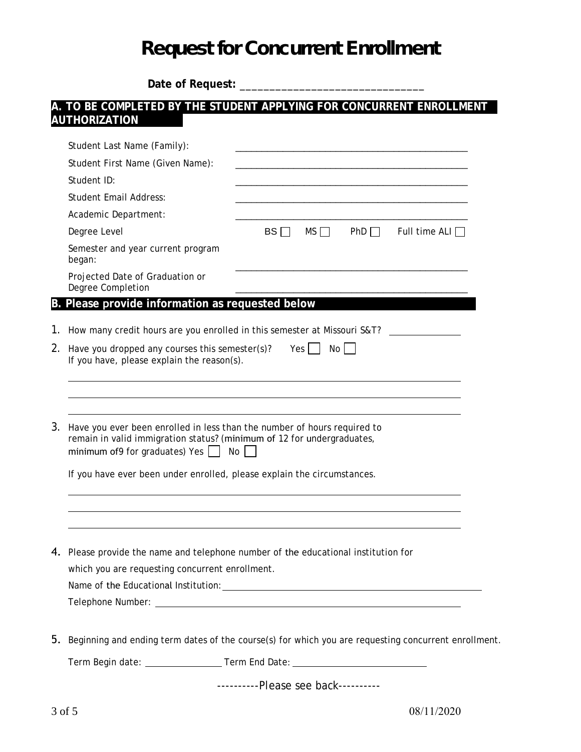# Request for Concurrent Enrollment

**Date of Request:** \_\_\_\_\_\_\_\_\_\_\_\_\_\_\_\_\_\_\_\_\_\_\_\_\_\_\_\_\_\_\_

#### **A. TO BE COMPLETED BY THE STUDENT APPLYING FOR CONCURRENT ENROLLMENT AUTHORIZATION\_\_\_\_\_\_-**

|                                                                                                                   | Student Last Name (Family):                                                                                                                                                                                 |           |           |     |                      |
|-------------------------------------------------------------------------------------------------------------------|-------------------------------------------------------------------------------------------------------------------------------------------------------------------------------------------------------------|-----------|-----------|-----|----------------------|
|                                                                                                                   | Student First Name (Given Name):                                                                                                                                                                            |           |           |     |                      |
|                                                                                                                   | Student ID:                                                                                                                                                                                                 |           |           |     |                      |
|                                                                                                                   | <b>Student Email Address:</b>                                                                                                                                                                               |           |           |     |                      |
|                                                                                                                   | Academic Department:                                                                                                                                                                                        |           |           |     |                      |
|                                                                                                                   | Degree Level                                                                                                                                                                                                | $BS \Box$ | $MS \Box$ | PhD | Full time ALI $\Box$ |
|                                                                                                                   | Semester and year current program<br>began:                                                                                                                                                                 |           |           |     |                      |
|                                                                                                                   | Projected Date of Graduation or<br>Degree Completion                                                                                                                                                        |           |           |     |                      |
|                                                                                                                   | B. Please provide information as requested below                                                                                                                                                            |           |           |     |                      |
| 1.                                                                                                                | How many credit hours are you enrolled in this semester at Missouri S&T?                                                                                                                                    |           |           |     |                      |
|                                                                                                                   |                                                                                                                                                                                                             |           |           |     |                      |
| Have you dropped any courses this semester(s)?<br>2.<br>Yes  <br>No<br>If you have, please explain the reason(s). |                                                                                                                                                                                                             |           |           |     |                      |
|                                                                                                                   |                                                                                                                                                                                                             |           |           |     |                      |
| 3.                                                                                                                | Have you ever been enrolled in less than the number of hours required to<br>remain in valid immigration status? (minimum of 12 for undergraduates,<br>minimum of 9 for graduates) Yes $\vert \ \vert$<br>No |           |           |     |                      |
|                                                                                                                   | If you have ever been under enrolled, please explain the circumstances.                                                                                                                                     |           |           |     |                      |
|                                                                                                                   |                                                                                                                                                                                                             |           |           |     |                      |
|                                                                                                                   |                                                                                                                                                                                                             |           |           |     |                      |
| 4.                                                                                                                | Please provide the name and telephone number of the educational institution for                                                                                                                             |           |           |     |                      |
|                                                                                                                   | which you are requesting concurrent enrollment.                                                                                                                                                             |           |           |     |                      |
|                                                                                                                   |                                                                                                                                                                                                             |           |           |     |                      |
|                                                                                                                   |                                                                                                                                                                                                             |           |           |     |                      |
| 5.                                                                                                                | Beginning and ending term dates of the course(s) for which you are requesting concurrent enrollment.                                                                                                        |           |           |     |                      |
|                                                                                                                   | Term Begin date: ________________________Term End Date: ________________________                                                                                                                            |           |           |     |                      |
|                                                                                                                   |                                                                                                                                                                                                             |           |           |     |                      |

*----------Please see back----------*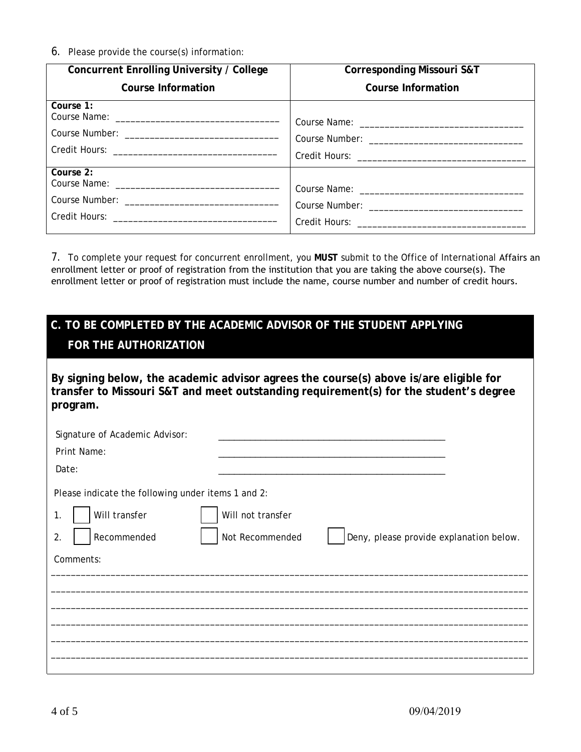6. Please provide the course(s) information:

| Concurrent Enrolling University / College | <b>Corresponding Missouri S&amp;T</b> |
|-------------------------------------------|---------------------------------------|
| <b>Course Information</b>                 | <b>Course Information</b>             |
| Course 1:                                 |                                       |
| Course 2:                                 |                                       |

7. To complete your request for concurrent enrollment, you **MUST** submit to the Office of International Affairs an enrollment letter or proof of registration from the institution that you are taking the above course(s). The enrollment letter or proof of registration must include the name, course number and number of credit hours.

## **C. TO BE COMPLETED BY THE ACADEMIC ADVISOR OF THE STUDENT APPLYING FOR THE AUTHORIZATION**

**By signing below, the academic advisor agrees the course(s) above is/are eligible for transfer to Missouri S&T and meet outstanding requirement(s) for the student's degree program.**

| Signature of Academic Advisor:                     |                                                            |
|----------------------------------------------------|------------------------------------------------------------|
| Print Name:                                        |                                                            |
| Date:                                              |                                                            |
| Please indicate the following under items 1 and 2: |                                                            |
| Will transfer<br>1.                                | Will not transfer                                          |
| Recommended<br>2.                                  | Not Recommended<br>Deny, please provide explanation below. |
| Comments:                                          |                                                            |
|                                                    |                                                            |
|                                                    |                                                            |
|                                                    |                                                            |
|                                                    |                                                            |
|                                                    |                                                            |